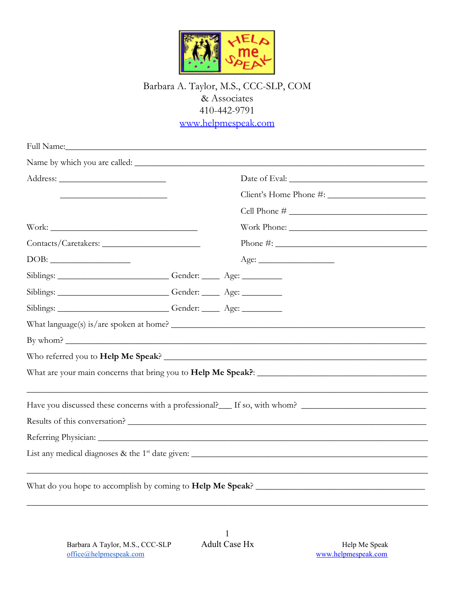

## Barbara A. Taylor, M.S., CCC-SLP, COM & Associates 410-442-9791 [www.helpmespeak.com](http://www.helpmespeak.com/)

| Full Name: Name and Solid School and School and School and School and School and School and School and School and School and School and School and School and School and School and School and School and School and School an |  |                                                                                                                                                                                                                                                                                                                    |
|--------------------------------------------------------------------------------------------------------------------------------------------------------------------------------------------------------------------------------|--|--------------------------------------------------------------------------------------------------------------------------------------------------------------------------------------------------------------------------------------------------------------------------------------------------------------------|
|                                                                                                                                                                                                                                |  |                                                                                                                                                                                                                                                                                                                    |
|                                                                                                                                                                                                                                |  |                                                                                                                                                                                                                                                                                                                    |
|                                                                                                                                                                                                                                |  |                                                                                                                                                                                                                                                                                                                    |
|                                                                                                                                                                                                                                |  | Cell Phone $#$                                                                                                                                                                                                                                                                                                     |
|                                                                                                                                                                                                                                |  |                                                                                                                                                                                                                                                                                                                    |
|                                                                                                                                                                                                                                |  | Phone #: $\frac{1}{2}$ $\frac{1}{2}$ $\frac{1}{2}$ $\frac{1}{2}$ $\frac{1}{2}$ $\frac{1}{2}$ $\frac{1}{2}$ $\frac{1}{2}$ $\frac{1}{2}$ $\frac{1}{2}$ $\frac{1}{2}$ $\frac{1}{2}$ $\frac{1}{2}$ $\frac{1}{2}$ $\frac{1}{2}$ $\frac{1}{2}$ $\frac{1}{2}$ $\frac{1}{2}$ $\frac{1}{2}$ $\frac{1}{2}$ $\frac{1}{2}$ $\$ |
|                                                                                                                                                                                                                                |  | Age:                                                                                                                                                                                                                                                                                                               |
| Siblings: Gender: Age: Age:                                                                                                                                                                                                    |  |                                                                                                                                                                                                                                                                                                                    |
| Siblings: Gender: Age: Age:                                                                                                                                                                                                    |  |                                                                                                                                                                                                                                                                                                                    |
| Siblings: __________________________Gender: ______ Age: ___________                                                                                                                                                            |  |                                                                                                                                                                                                                                                                                                                    |
|                                                                                                                                                                                                                                |  |                                                                                                                                                                                                                                                                                                                    |
|                                                                                                                                                                                                                                |  |                                                                                                                                                                                                                                                                                                                    |
|                                                                                                                                                                                                                                |  |                                                                                                                                                                                                                                                                                                                    |
|                                                                                                                                                                                                                                |  |                                                                                                                                                                                                                                                                                                                    |
|                                                                                                                                                                                                                                |  |                                                                                                                                                                                                                                                                                                                    |
|                                                                                                                                                                                                                                |  | Results of this conversation?                                                                                                                                                                                                                                                                                      |
|                                                                                                                                                                                                                                |  |                                                                                                                                                                                                                                                                                                                    |
|                                                                                                                                                                                                                                |  |                                                                                                                                                                                                                                                                                                                    |
|                                                                                                                                                                                                                                |  |                                                                                                                                                                                                                                                                                                                    |
|                                                                                                                                                                                                                                |  |                                                                                                                                                                                                                                                                                                                    |

\_\_\_\_\_\_\_\_\_\_\_\_\_\_\_\_\_\_\_\_\_\_\_\_\_\_\_\_\_\_\_\_\_\_\_\_\_\_\_\_\_\_\_\_\_\_\_\_\_\_\_\_\_\_\_\_\_\_\_\_\_\_\_\_\_\_\_\_\_\_\_\_\_\_\_\_\_\_\_\_\_\_\_\_\_\_\_\_\_\_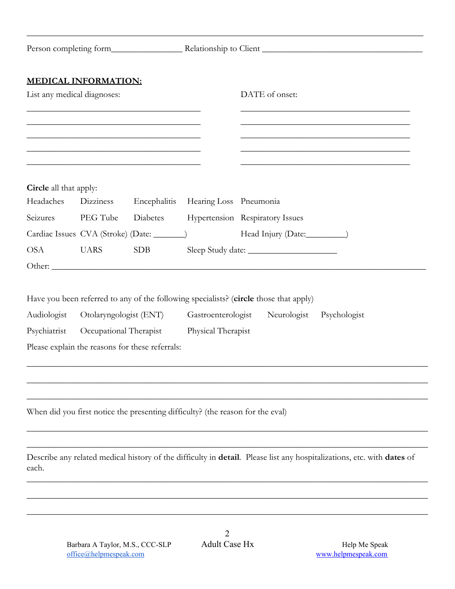|                        | <b>MEDICAL INFORMATION:</b><br>List any medical diagnoses: |                                                                                                                                                                                                                               |                                                                                | DATE of onset:                                                                                                                                                                     |
|------------------------|------------------------------------------------------------|-------------------------------------------------------------------------------------------------------------------------------------------------------------------------------------------------------------------------------|--------------------------------------------------------------------------------|------------------------------------------------------------------------------------------------------------------------------------------------------------------------------------|
|                        |                                                            | the control of the control of the control of the control of the control of the control of the control of the control of the control of the control of the control of the control of the control of the control of the control |                                                                                | <u> 1989 - Johann Stoff, amerikansk politiker (d. 1989)</u><br><u> 1989 - Johann John Stoff, deutscher Stoffen und der Stoffen und der Stoffen und der Stoffen und der Stoffen</u> |
| Circle all that apply: |                                                            |                                                                                                                                                                                                                               |                                                                                |                                                                                                                                                                                    |
| Headaches              | Dizziness                                                  |                                                                                                                                                                                                                               | Encephalitis Hearing Loss Pneumonia                                            |                                                                                                                                                                                    |
| Seizures               | PEG Tube                                                   |                                                                                                                                                                                                                               |                                                                                | Diabetes Hypertension Respiratory Issues                                                                                                                                           |
|                        |                                                            | Cardiac Issues CVA (Stroke) (Date: ________)                                                                                                                                                                                  |                                                                                |                                                                                                                                                                                    |
| <b>OSA</b>             | <b>UARS</b>                                                | <b>SDB</b><br>Other:                                                                                                                                                                                                          |                                                                                |                                                                                                                                                                                    |
|                        |                                                            |                                                                                                                                                                                                                               |                                                                                | Have you been referred to any of the following specialists? (circle those that apply)                                                                                              |
| Audiologist            |                                                            | Otolaryngologist (ENT)                                                                                                                                                                                                        |                                                                                | Gastroenterologist Neurologist Psychologist                                                                                                                                        |
|                        |                                                            | Psychiatrist Occupational Therapist                                                                                                                                                                                           | Physical Therapist                                                             |                                                                                                                                                                                    |
|                        |                                                            | Please explain the reasons for these referrals:                                                                                                                                                                               |                                                                                |                                                                                                                                                                                    |
|                        |                                                            |                                                                                                                                                                                                                               |                                                                                |                                                                                                                                                                                    |
|                        |                                                            |                                                                                                                                                                                                                               | When did you first notice the presenting difficulty? (the reason for the eval) |                                                                                                                                                                                    |
| each.                  |                                                            |                                                                                                                                                                                                                               |                                                                                | Describe any related medical history of the difficulty in detail. Please list any hospitalizations, etc. with dates of                                                             |
|                        |                                                            |                                                                                                                                                                                                                               |                                                                                |                                                                                                                                                                                    |

\_\_\_\_\_\_\_\_\_\_\_\_\_\_\_\_\_\_\_\_\_\_\_\_\_\_\_\_\_\_\_\_\_\_\_\_\_\_\_\_\_\_\_\_\_\_\_\_\_\_\_\_\_\_\_\_\_\_\_\_\_\_\_\_\_\_\_\_\_\_\_\_\_\_\_\_\_\_\_\_\_\_\_\_\_\_\_\_\_\_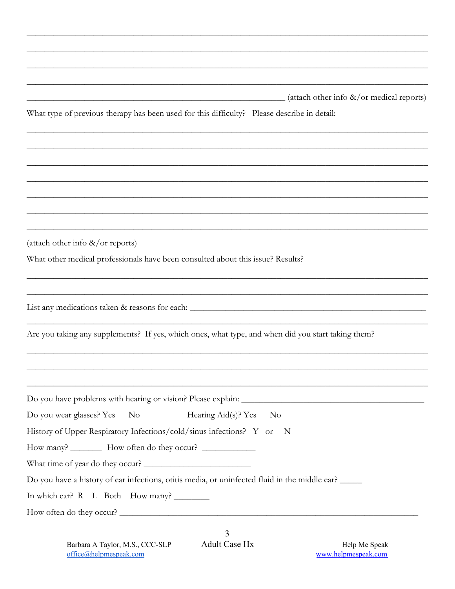| (attach other info &/or medical reports)<br>What type of previous therapy has been used for this difficulty? Please describe in detail:<br>(attach other info $\&\/$ or reports)<br>What other medical professionals have been consulted about this issue? Results?<br>List any medications taken & reasons for each: __________________________________<br>Are you taking any supplements? If yes, which ones, what type, and when did you start taking them?<br>Do you wear glasses? Yes<br>$\rm No$<br>Hearing Aid(s)? Yes<br>$\overline{N}$<br>History of Upper Respiratory Infections/cold/sinus infections? Y or N |
|--------------------------------------------------------------------------------------------------------------------------------------------------------------------------------------------------------------------------------------------------------------------------------------------------------------------------------------------------------------------------------------------------------------------------------------------------------------------------------------------------------------------------------------------------------------------------------------------------------------------------|
|                                                                                                                                                                                                                                                                                                                                                                                                                                                                                                                                                                                                                          |
|                                                                                                                                                                                                                                                                                                                                                                                                                                                                                                                                                                                                                          |
|                                                                                                                                                                                                                                                                                                                                                                                                                                                                                                                                                                                                                          |
|                                                                                                                                                                                                                                                                                                                                                                                                                                                                                                                                                                                                                          |
|                                                                                                                                                                                                                                                                                                                                                                                                                                                                                                                                                                                                                          |
|                                                                                                                                                                                                                                                                                                                                                                                                                                                                                                                                                                                                                          |
|                                                                                                                                                                                                                                                                                                                                                                                                                                                                                                                                                                                                                          |
|                                                                                                                                                                                                                                                                                                                                                                                                                                                                                                                                                                                                                          |
|                                                                                                                                                                                                                                                                                                                                                                                                                                                                                                                                                                                                                          |
|                                                                                                                                                                                                                                                                                                                                                                                                                                                                                                                                                                                                                          |
|                                                                                                                                                                                                                                                                                                                                                                                                                                                                                                                                                                                                                          |
|                                                                                                                                                                                                                                                                                                                                                                                                                                                                                                                                                                                                                          |
|                                                                                                                                                                                                                                                                                                                                                                                                                                                                                                                                                                                                                          |
|                                                                                                                                                                                                                                                                                                                                                                                                                                                                                                                                                                                                                          |
|                                                                                                                                                                                                                                                                                                                                                                                                                                                                                                                                                                                                                          |
|                                                                                                                                                                                                                                                                                                                                                                                                                                                                                                                                                                                                                          |
| How many? ___________ How often do they occur? __________________________________                                                                                                                                                                                                                                                                                                                                                                                                                                                                                                                                        |
| What time of year do they occur?                                                                                                                                                                                                                                                                                                                                                                                                                                                                                                                                                                                         |
| Do you have a history of ear infections, otitis media, or uninfected fluid in the middle ear? _____                                                                                                                                                                                                                                                                                                                                                                                                                                                                                                                      |
| In which ear? R L Both How many? __________                                                                                                                                                                                                                                                                                                                                                                                                                                                                                                                                                                              |
| How often do they occur?                                                                                                                                                                                                                                                                                                                                                                                                                                                                                                                                                                                                 |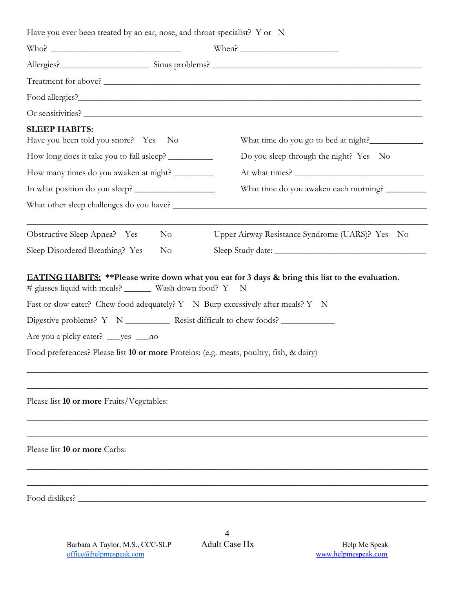Have you ever been treated by an ear, nose, and throat specialist? Y or N Who? When? Allergies?\_\_\_\_\_\_\_\_\_\_\_\_\_\_\_\_\_\_\_\_ Sinus problems? \_\_\_\_\_\_\_\_\_\_\_\_\_\_\_\_\_\_\_\_\_\_\_\_\_\_\_\_\_\_\_\_\_\_\_\_\_\_\_\_\_\_\_\_\_\_\_ Treatment for above? \_\_\_\_\_\_\_\_\_\_\_\_\_\_\_\_\_\_\_\_\_\_\_\_\_\_\_\_\_\_\_\_\_\_\_\_\_\_\_\_\_\_\_\_\_\_\_\_\_\_\_\_\_\_\_\_\_\_\_\_\_\_\_\_\_\_\_\_\_\_\_ Food allergies?\_\_\_\_\_\_\_\_\_\_\_\_\_\_\_\_\_\_\_\_\_\_\_\_\_\_\_\_\_\_\_\_\_\_\_\_\_\_\_\_\_\_\_\_\_\_\_\_\_\_\_\_\_\_\_\_\_\_\_\_\_\_\_\_\_\_\_\_\_\_\_\_\_\_\_\_\_ Or sensitivities? **SLEEP HABITS:** Have you been told you snore? Yes No What time do you go to bed at night? How long does it take you to fall asleep? \_\_\_\_\_\_\_\_\_\_\_\_\_\_\_\_\_ Do you sleep through the night? Yes No How many times do you awaken at night? \_\_\_\_\_\_\_\_\_ At what times? \_\_\_\_\_\_\_\_\_\_\_\_\_\_\_\_\_\_\_\_\_\_\_\_\_\_\_\_\_ In what position do you sleep? \_\_\_\_\_\_\_\_\_\_\_\_\_\_\_\_\_\_\_\_\_\_\_\_\_\_ What time do you awaken each morning? \_\_\_\_\_\_\_\_\_\_ What other sleep challenges do you have? \_\_\_\_\_\_\_\_\_\_\_\_\_\_\_\_\_\_\_\_\_\_\_\_\_\_\_\_\_\_\_\_\_\_\_\_\_\_\_\_\_\_\_\_\_\_\_\_\_\_\_\_\_\_\_\_\_ \_\_\_\_\_\_\_\_\_\_\_\_\_\_\_\_\_\_\_\_\_\_\_\_\_\_\_\_\_\_\_\_\_\_\_\_\_\_\_\_\_\_\_\_\_\_\_\_\_\_\_\_\_\_\_\_\_\_\_\_\_\_\_\_\_\_\_\_\_\_\_\_\_\_\_\_\_\_\_\_\_\_\_\_\_\_\_\_\_\_ Obstructive Sleep Apnea? Yes No Upper Airway Resistance Syndrome (UARS)? Yes No Sleep Disordered Breathing? Yes No Sleep Study date: \_\_\_\_\_\_\_\_\_\_\_\_\_\_\_\_\_\_\_\_\_\_\_\_\_\_\_\_ **EATING HABITS: \*\*Please write down what you eat for 3 days & bring this list to the evaluation.** # glasses liquid with meals? \_\_\_\_\_\_\_ Wash down food? Y N Fast or slow eater? Chew food adequately? Y N Burp excessively after meals? Y N Digestive problems? Y N \_\_\_\_\_\_\_\_\_\_ Resist difficult to chew foods? \_\_\_\_\_\_\_\_\_\_\_\_ Are you a picky eater? \_\_\_yes \_\_\_no Food preferences? Please list **10 or more** Proteins: (e.g. meats, poultry, fish, & dairy) \_\_\_\_\_\_\_\_\_\_\_\_\_\_\_\_\_\_\_\_\_\_\_\_\_\_\_\_\_\_\_\_\_\_\_\_\_\_\_\_\_\_\_\_\_\_\_\_\_\_\_\_\_\_\_\_\_\_\_\_\_\_\_\_\_\_\_\_\_\_\_\_\_\_\_\_\_\_\_\_\_\_\_\_\_\_\_\_\_\_ \_\_\_\_\_\_\_\_\_\_\_\_\_\_\_\_\_\_\_\_\_\_\_\_\_\_\_\_\_\_\_\_\_\_\_\_\_\_\_\_\_\_\_\_\_\_\_\_\_\_\_\_\_\_\_\_\_\_\_\_\_\_\_\_\_\_\_\_\_\_\_\_\_\_\_\_\_\_\_\_\_\_\_\_\_\_\_\_\_\_ Please list **10 or more** Fruits/Vegetables: \_\_\_\_\_\_\_\_\_\_\_\_\_\_\_\_\_\_\_\_\_\_\_\_\_\_\_\_\_\_\_\_\_\_\_\_\_\_\_\_\_\_\_\_\_\_\_\_\_\_\_\_\_\_\_\_\_\_\_\_\_\_\_\_\_\_\_\_\_\_\_\_\_\_\_\_\_\_\_\_\_\_\_\_\_\_\_\_\_\_ \_\_\_\_\_\_\_\_\_\_\_\_\_\_\_\_\_\_\_\_\_\_\_\_\_\_\_\_\_\_\_\_\_\_\_\_\_\_\_\_\_\_\_\_\_\_\_\_\_\_\_\_\_\_\_\_\_\_\_\_\_\_\_\_\_\_\_\_\_\_\_\_\_\_\_\_\_\_\_\_\_\_\_\_\_\_\_\_\_\_ Please list **10 or more** Carbs: \_\_\_\_\_\_\_\_\_\_\_\_\_\_\_\_\_\_\_\_\_\_\_\_\_\_\_\_\_\_\_\_\_\_\_\_\_\_\_\_\_\_\_\_\_\_\_\_\_\_\_\_\_\_\_\_\_\_\_\_\_\_\_\_\_\_\_\_\_\_\_\_\_\_\_\_\_\_\_\_\_\_\_\_\_\_\_\_\_\_ \_\_\_\_\_\_\_\_\_\_\_\_\_\_\_\_\_\_\_\_\_\_\_\_\_\_\_\_\_\_\_\_\_\_\_\_\_\_\_\_\_\_\_\_\_\_\_\_\_\_\_\_\_\_\_\_\_\_\_\_\_\_\_\_\_\_\_\_\_\_\_\_\_\_\_\_\_\_\_\_\_\_\_\_\_\_\_\_\_\_ Food dislikes?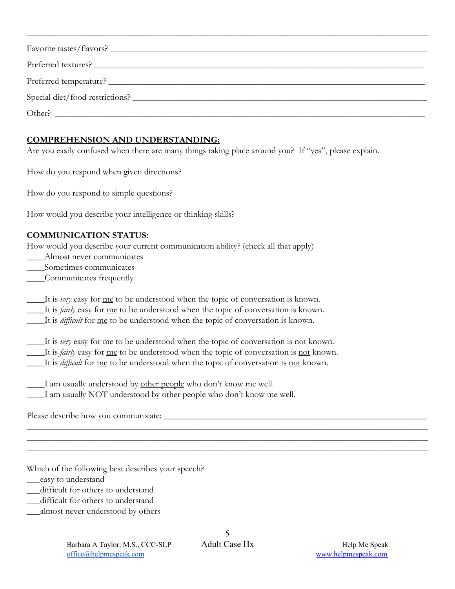| Favorite tastes/flavors?                                |
|---------------------------------------------------------|
|                                                         |
|                                                         |
|                                                         |
| Other?<br><u> 1980 - Andrea Andrew Maria (h. 1980).</u> |

\_\_\_\_\_\_\_\_\_\_\_\_\_\_\_\_\_\_\_\_\_\_\_\_\_\_\_\_\_\_\_\_\_\_\_\_\_\_\_\_\_\_\_\_\_\_\_\_\_\_\_\_\_\_\_\_\_\_\_\_\_\_\_\_\_\_\_\_\_\_\_\_\_\_\_\_\_\_\_\_\_\_\_\_\_\_\_\_\_\_

## **COMPREHENSION AND UNDERSTANDING:**

Are you easily confused when there are many things taking place around you? If "yes", please explain.

How do you respond when given directions?

How do you respond to simple questions?

How would you describe your intelligence or thinking skills?

## **COMMUNICATION STATUS:**

How would you describe your current communication ability? (check all that apply)

- Almost never communicates
- \_\_\_\_Sometimes communicates
- \_\_\_\_Communicates frequently

\_\_\_\_It is *very* easy for me to be understood when the topic of conversation is known.

\_\_\_\_It is *fairly* easy for me to be understood when the topic of conversation is known.

\_\_\_\_It is *difficult* for me to be understood when the topic of conversation is known.

\_\_\_\_It is *very* easy for me to be understood when the topic of conversation is not known. \_\_\_\_It is *fairly* easy for me to be understood when the topic of conversation is not known. \_\_\_\_It is *difficult* for me to be understood when the topic of conversation is not known.

I am usually understood by other people who don't know me well. **I** am usually NOT understood by other people who don't know me well.

Please describe how you communicate: \_\_\_\_\_\_\_\_\_\_\_\_\_\_\_\_\_\_\_\_\_\_\_\_\_\_\_\_\_\_\_\_\_\_\_\_\_\_\_\_\_\_\_\_\_\_\_\_\_\_\_\_\_\_\_\_\_\_\_

Which of the following best describes your speech?

\_\_\_easy to understand

- \_\_\_difficult for others to understand
- \_\_\_difficult for others to understand
- \_\_\_almost never understood by others

\_\_\_\_\_\_\_\_\_\_\_\_\_\_\_\_\_\_\_\_\_\_\_\_\_\_\_\_\_\_\_\_\_\_\_\_\_\_\_\_\_\_\_\_\_\_\_\_\_\_\_\_\_\_\_\_\_\_\_\_\_\_\_\_\_\_\_\_\_\_\_\_\_\_\_\_\_\_\_\_\_\_\_\_\_\_\_\_\_\_ \_\_\_\_\_\_\_\_\_\_\_\_\_\_\_\_\_\_\_\_\_\_\_\_\_\_\_\_\_\_\_\_\_\_\_\_\_\_\_\_\_\_\_\_\_\_\_\_\_\_\_\_\_\_\_\_\_\_\_\_\_\_\_\_\_\_\_\_\_\_\_\_\_\_\_\_\_\_\_\_\_\_\_\_\_\_\_\_\_\_ \_\_\_\_\_\_\_\_\_\_\_\_\_\_\_\_\_\_\_\_\_\_\_\_\_\_\_\_\_\_\_\_\_\_\_\_\_\_\_\_\_\_\_\_\_\_\_\_\_\_\_\_\_\_\_\_\_\_\_\_\_\_\_\_\_\_\_\_\_\_\_\_\_\_\_\_\_\_\_\_\_\_\_\_\_\_\_\_\_\_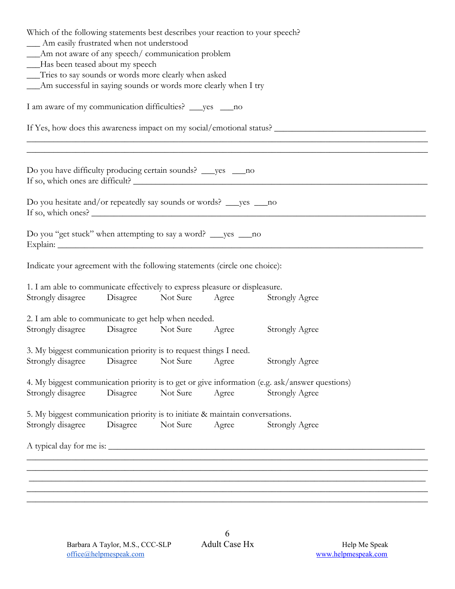| Which of the following statements best describes your reaction to your speech?<br>__ Am easily frustrated when not understood |                                                                   |          |       |                                                                                                                                                                                                |  |  |  |
|-------------------------------------------------------------------------------------------------------------------------------|-------------------------------------------------------------------|----------|-------|------------------------------------------------------------------------------------------------------------------------------------------------------------------------------------------------|--|--|--|
| __Am not aware of any speech/ communication problem<br>-Has been teased about my speech                                       |                                                                   |          |       |                                                                                                                                                                                                |  |  |  |
| __Tries to say sounds or words more clearly when asked                                                                        |                                                                   |          |       |                                                                                                                                                                                                |  |  |  |
|                                                                                                                               | __Am successful in saying sounds or words more clearly when I try |          |       |                                                                                                                                                                                                |  |  |  |
| I am aware of my communication difficulties? ___ yes ___ no                                                                   |                                                                   |          |       |                                                                                                                                                                                                |  |  |  |
|                                                                                                                               |                                                                   |          |       | If Yes, how does this awareness impact on my social/emotional status?<br><u> 1989 - Johann Stoff, deutscher Stoff, der Stoff, der Stoff, der Stoff, der Stoff, der Stoff, der Stoff, der S</u> |  |  |  |
|                                                                                                                               |                                                                   |          |       | <u> 1989 - Andrea Stadt Barbara, Amerikaansk politiker (d. 1989)</u>                                                                                                                           |  |  |  |
| Do you have difficulty producing certain sounds? ___ yes ___ no                                                               |                                                                   |          |       |                                                                                                                                                                                                |  |  |  |
| Do you hesitate and/or repeatedly say sounds or words? _____ yes _____ no<br>If so, which ones?                               |                                                                   |          |       |                                                                                                                                                                                                |  |  |  |
| Do you "get stuck" when attempting to say a word? ___ yes ___ no                                                              |                                                                   |          |       |                                                                                                                                                                                                |  |  |  |
| Indicate your agreement with the following statements (circle one choice):                                                    |                                                                   |          |       |                                                                                                                                                                                                |  |  |  |
| 1. I am able to communicate effectively to express pleasure or displeasure.<br>Strongly disagree Disagree                     |                                                                   | Not Sure | Agree | <b>Strongly Agree</b>                                                                                                                                                                          |  |  |  |
| 2. I am able to communicate to get help when needed.                                                                          |                                                                   |          |       |                                                                                                                                                                                                |  |  |  |
| Strongly disagree Disagree                                                                                                    |                                                                   | Not Sure | Agree | <b>Strongly Agree</b>                                                                                                                                                                          |  |  |  |
| 3. My biggest communication priority is to request things I need.                                                             |                                                                   |          |       |                                                                                                                                                                                                |  |  |  |
| Strongly disagree                                                                                                             | Disagree                                                          | Not Sure | Agree | <b>Strongly Agree</b>                                                                                                                                                                          |  |  |  |
|                                                                                                                               |                                                                   |          |       | 4. My biggest communication priority is to get or give information (e.g. ask/answer questions)                                                                                                 |  |  |  |
| Strongly disagree                                                                                                             | Disagree                                                          | Not Sure | Agree | <b>Strongly Agree</b>                                                                                                                                                                          |  |  |  |
| 5. My biggest communication priority is to initiate & maintain conversations.                                                 |                                                                   |          |       |                                                                                                                                                                                                |  |  |  |
| Strongly disagree                                                                                                             | Disagree                                                          | Not Sure | Agree | <b>Strongly Agree</b>                                                                                                                                                                          |  |  |  |
|                                                                                                                               |                                                                   |          |       |                                                                                                                                                                                                |  |  |  |
|                                                                                                                               |                                                                   |          |       |                                                                                                                                                                                                |  |  |  |
|                                                                                                                               |                                                                   |          |       |                                                                                                                                                                                                |  |  |  |
|                                                                                                                               |                                                                   |          |       |                                                                                                                                                                                                |  |  |  |

\_\_\_\_\_\_\_\_\_\_\_\_\_\_\_\_\_\_\_\_\_\_\_\_\_\_\_\_\_\_\_\_\_\_\_\_\_\_\_\_\_\_\_\_\_\_\_\_\_\_\_\_\_\_\_\_\_\_\_\_\_\_\_\_\_\_\_\_\_\_\_\_\_\_\_\_\_\_\_\_\_\_\_\_\_\_\_\_\_\_